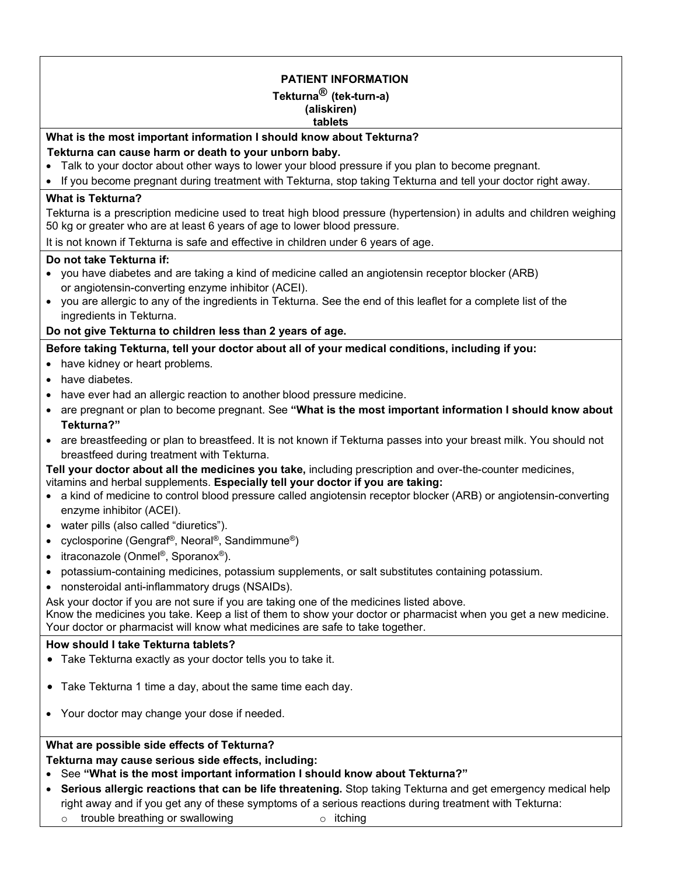# **PATIENT INFORMATION Tekturna® (tek-turn-a) (aliskiren) tablets What is the most important information I should know about Tekturna? Tekturna can cause harm or death to your unborn baby.**  • Talk to your doctor about other ways to lower your blood pressure if you plan to become pregnant. • If you become pregnant during treatment with Tekturna, stop taking Tekturna and tell your doctor right away. **What is Tekturna?** Tekturna is a prescription medicine used to treat high blood pressure (hypertension) in adults and children weighing 50 kg or greater who are at least 6 years of age to lower blood pressure. It is not known if Tekturna is safe and effective in children under 6 years of age. **Do not take Tekturna if:** • you have diabetes and are taking a kind of medicine called an angiotensin receptor blocker (ARB) or angiotensin-converting enzyme inhibitor (ACEI). • you are allergic to any of the ingredients in Tekturna. See the end of this leaflet for a complete list of the ingredients in Tekturna. **Do not give Tekturna to children less than 2 years of age. Before taking Tekturna, tell your doctor about all of your medical conditions, including if you:** • have kidney or heart problems. • have diabetes. • have ever had an allergic reaction to another blood pressure medicine. • are pregnant or plan to become pregnant. See **"What is the most important information I should know about Tekturna?"** • are breastfeeding or plan to breastfeed. It is not known if Tekturna passes into your breast milk. You should not breastfeed during treatment with Tekturna. **Tell your doctor about all the medicines you take,** including prescription and over-the-counter medicines, vitamins and herbal supplements. **Especially tell your doctor if you are taking:** • a kind of medicine to control blood pressure called angiotensin receptor blocker (ARB) or angiotensin-converting enzyme inhibitor (ACEI). • water pills (also called "diuretics"). • cyclosporine (Gengraf®, Neoral®, Sandimmune®) • itraconazole (Onmel<sup>®</sup>, Sporanox<sup>®</sup>). • potassium-containing medicines, potassium supplements, or salt substitutes containing potassium. • nonsteroidal anti-inflammatory drugs (NSAIDs). Ask your doctor if you are not sure if you are taking one of the medicines listed above. Know the medicines you take. Keep a list of them to show your doctor or pharmacist when you get a new medicine. Your doctor or pharmacist will know what medicines are safe to take together. **How should I take Tekturna tablets?** • Take Tekturna exactly as your doctor tells you to take it. • Take Tekturna 1 time a day, about the same time each day. • Your doctor may change your dose if needed.

## **What are possible side effects of Tekturna?**

**Tekturna may cause serious side effects, including:**

- See **"What is the most important information I should know about Tekturna?"**
- **Serious allergic reactions that can be life threatening.** Stop taking Tekturna and get emergency medical help right away and if you get any of these symptoms of a serious reactions during treatment with Tekturna:  $\circ$  trouble breathing or swallowing  $\circ$  itching